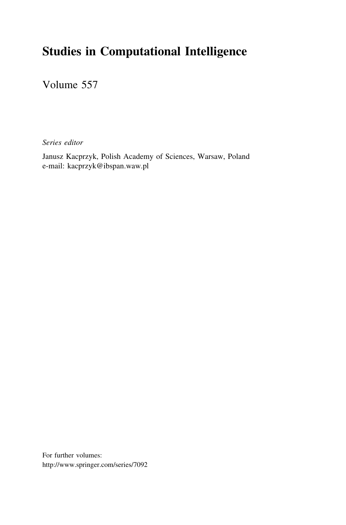## Studies in Computational Intelligence

Volume 557

Series editor

Janusz Kacprzyk, Polish Academy of Sciences, Warsaw, Poland e-mail: kacprzyk@ibspan.waw.pl

For further volumes: <http://www.springer.com/series/7092>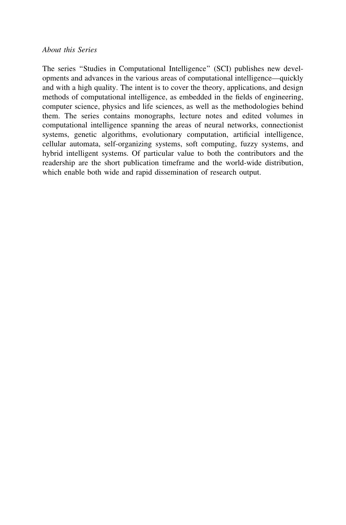#### About this Series

The series ''Studies in Computational Intelligence'' (SCI) publishes new developments and advances in the various areas of computational intelligence—quickly and with a high quality. The intent is to cover the theory, applications, and design methods of computational intelligence, as embedded in the fields of engineering, computer science, physics and life sciences, as well as the methodologies behind them. The series contains monographs, lecture notes and edited volumes in computational intelligence spanning the areas of neural networks, connectionist systems, genetic algorithms, evolutionary computation, artificial intelligence, cellular automata, self-organizing systems, soft computing, fuzzy systems, and hybrid intelligent systems. Of particular value to both the contributors and the readership are the short publication timeframe and the world-wide distribution, which enable both wide and rapid dissemination of research output.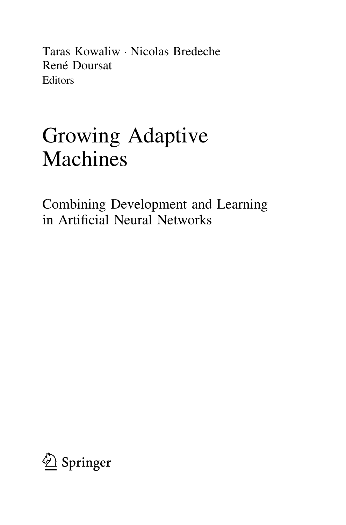Taras Kowaliw • Nicolas Bredeche René Doursat Editors

# Growing Adaptive Machines

Combining Development and Learning in Artificial Neural Networks

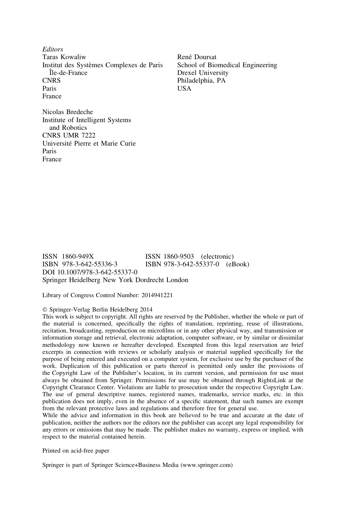**Editors** Taras Kowaliw Institut des Systèmes Complexes de Paris Île-de-France **CNRS** Paris France

René Doursat School of Biomedical Engineering Drexel University Philadelphia, PA USA

Nicolas Bredeche Institute of Intelligent Systems and Robotics CNRS UMR 7222 Université Pierre et Marie Curie Paris France

ISSN 1860-949X<br>ISSN 978-3-642-55336-3<br>ISBN 978-3-642-55337-0 (eF ISBN 978-3-642-55337-0 (eBook) DOI 10.1007/978-3-642-55337-0 Springer Heidelberg New York Dordrecht London

Library of Congress Control Number: 2014941221

#### - Springer-Verlag Berlin Heidelberg 2014

This work is subject to copyright. All rights are reserved by the Publisher, whether the whole or part of the material is concerned, specifically the rights of translation, reprinting, reuse of illustrations, recitation, broadcasting, reproduction on microfilms or in any other physical way, and transmission or information storage and retrieval, electronic adaptation, computer software, or by similar or dissimilar methodology now known or hereafter developed. Exempted from this legal reservation are brief excerpts in connection with reviews or scholarly analysis or material supplied specifically for the purpose of being entered and executed on a computer system, for exclusive use by the purchaser of the work. Duplication of this publication or parts thereof is permitted only under the provisions of the Copyright Law of the Publisher's location, in its current version, and permission for use must always be obtained from Springer. Permissions for use may be obtained through RightsLink at the Copyright Clearance Center. Violations are liable to prosecution under the respective Copyright Law. The use of general descriptive names, registered names, trademarks, service marks, etc. in this publication does not imply, even in the absence of a specific statement, that such names are exempt from the relevant protective laws and regulations and therefore free for general use.

While the advice and information in this book are believed to be true and accurate at the date of publication, neither the authors nor the editors nor the publisher can accept any legal responsibility for any errors or omissions that may be made. The publisher makes no warranty, express or implied, with respect to the material contained herein.

Printed on acid-free paper

Springer is part of Springer Science+Business Media (www.springer.com)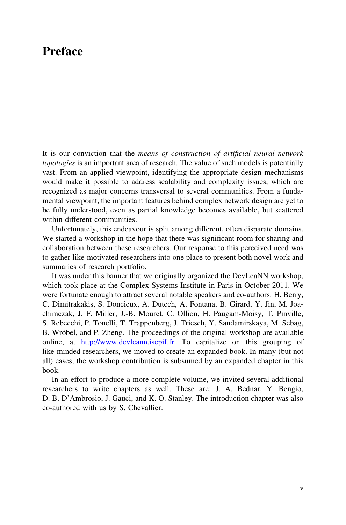### Preface

It is our conviction that the means of construction of artificial neural network topologies is an important area of research. The value of such models is potentially vast. From an applied viewpoint, identifying the appropriate design mechanisms would make it possible to address scalability and complexity issues, which are recognized as major concerns transversal to several communities. From a fundamental viewpoint, the important features behind complex network design are yet to be fully understood, even as partial knowledge becomes available, but scattered within different communities.

Unfortunately, this endeavour is split among different, often disparate domains. We started a workshop in the hope that there was significant room for sharing and collaboration between these researchers. Our response to this perceived need was to gather like-motivated researchers into one place to present both novel work and summaries of research portfolio.

It was under this banner that we originally organized the DevLeaNN workshop, which took place at the Complex Systems Institute in Paris in October 2011. We were fortunate enough to attract several notable speakers and co-authors: H. Berry, C. Dimitrakakis, S. Doncieux, A. Dutech, A. Fontana, B. Girard, Y. Jin, M. Joachimczak, J. F. Miller, J.-B. Mouret, C. Ollion, H. Paugam-Moisy, T. Pinville, S. Rebecchi, P. Tonelli, T. Trappenberg, J. Triesch, Y. Sandamirskaya, M. Sebag, B. Wróbel, and P. Zheng. The proceedings of the original workshop are available online, at <http://www.devleann.iscpif.fr>. To capitalize on this grouping of like-minded researchers, we moved to create an expanded book. In many (but not all) cases, the workshop contribution is subsumed by an expanded chapter in this book.

In an effort to produce a more complete volume, we invited several additional researchers to write chapters as well. These are: J. A. Bednar, Y. Bengio, D. B. D'Ambrosio, J. Gauci, and K. O. Stanley. The introduction chapter was also co-authored with us by S. Chevallier.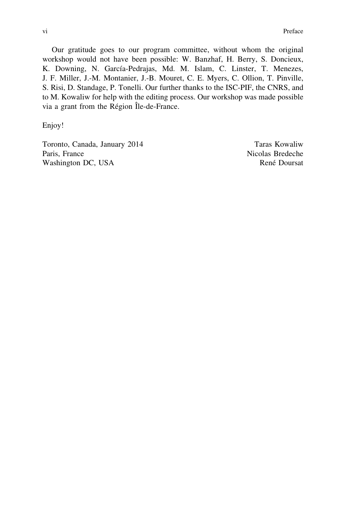Our gratitude goes to our program committee, without whom the original workshop would not have been possible: W. Banzhaf, H. Berry, S. Doncieux, K. Downing, N. García-Pedrajas, Md. M. Islam, C. Linster, T. Menezes, J. F. Miller, J.-M. Montanier, J.-B. Mouret, C. E. Myers, C. Ollion, T. Pinville, S. Risi, D. Standage, P. Tonelli. Our further thanks to the ISC-PIF, the CNRS, and to M. Kowaliw for help with the editing process. Our workshop was made possible via a grant from the Région Île-de-France.

Enjoy!

Toronto, Canada, January 2014 Taras Kowaliw Paris, France Nicolas Bredeche Nicolas Bredeche Nicolas Bredeche Nicolas Bredeche Nicolas Bredeche Nicolas Bredeche Nicolas Bredeche Nicolas Bredeche Nicolas Bredeche Nicolas Bredeche Nicolas Bredeche Nicolas Bredeche Nico Washington DC, USA